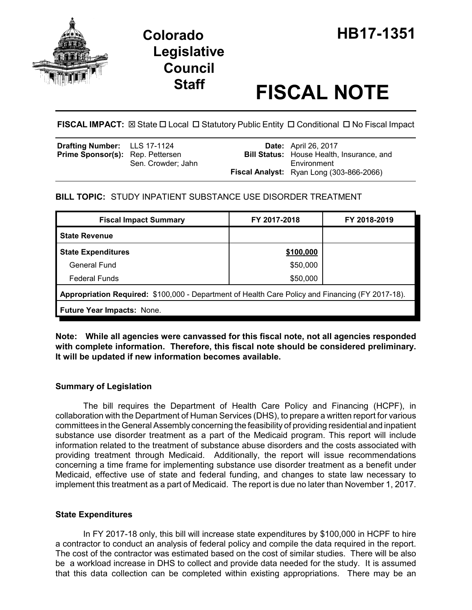



# **Staff FISCAL NOTE**

**FISCAL IMPACT:**  $\boxtimes$  State  $\Box$  Local  $\Box$  Statutory Public Entity  $\Box$  Conditional  $\Box$  No Fiscal Impact

| <b>Drafting Number:</b> LLS 17-1124     |                    | <b>Date:</b> April 26, 2017                      |
|-----------------------------------------|--------------------|--------------------------------------------------|
| <b>Prime Sponsor(s):</b> Rep. Pettersen |                    | <b>Bill Status:</b> House Health, Insurance, and |
|                                         | Sen. Crowder: Jahn | Environment                                      |
|                                         |                    | <b>Fiscal Analyst:</b> Ryan Long (303-866-2066)  |

# **BILL TOPIC:** STUDY INPATIENT SUBSTANCE USE DISORDER TREATMENT

| <b>Fiscal Impact Summary</b>                                                                     | FY 2017-2018 | FY 2018-2019 |  |  |  |
|--------------------------------------------------------------------------------------------------|--------------|--------------|--|--|--|
| <b>State Revenue</b>                                                                             |              |              |  |  |  |
| <b>State Expenditures</b>                                                                        | \$100,000    |              |  |  |  |
| General Fund                                                                                     | \$50,000     |              |  |  |  |
| <b>Federal Funds</b>                                                                             | \$50,000     |              |  |  |  |
| Appropriation Required: \$100,000 - Department of Health Care Policy and Financing (FY 2017-18). |              |              |  |  |  |
| <b>Future Year Impacts: None.</b>                                                                |              |              |  |  |  |

**Note: While all agencies were canvassed for this fiscal note, not all agencies responded with complete information. Therefore, this fiscal note should be considered preliminary. It will be updated if new information becomes available.** 

# **Summary of Legislation**

The bill requires the Department of Health Care Policy and Financing (HCPF), in collaboration with the Department of Human Services (DHS), to prepare a written report for various committees in the General Assembly concerning the feasibility of providing residential and inpatient substance use disorder treatment as a part of the Medicaid program. This report will include information related to the treatment of substance abuse disorders and the costs associated with providing treatment through Medicaid. Additionally, the report will issue recommendations concerning a time frame for implementing substance use disorder treatment as a benefit under Medicaid, effective use of state and federal funding, and changes to state law necessary to implement this treatment as a part of Medicaid. The report is due no later than November 1, 2017.

## **State Expenditures**

In FY 2017-18 only, this bill will increase state expenditures by \$100,000 in HCPF to hire a contractor to conduct an analysis of federal policy and compile the data required in the report. The cost of the contractor was estimated based on the cost of similar studies. There will be also be a workload increase in DHS to collect and provide data needed for the study. It is assumed that this data collection can be completed within existing appropriations. There may be an